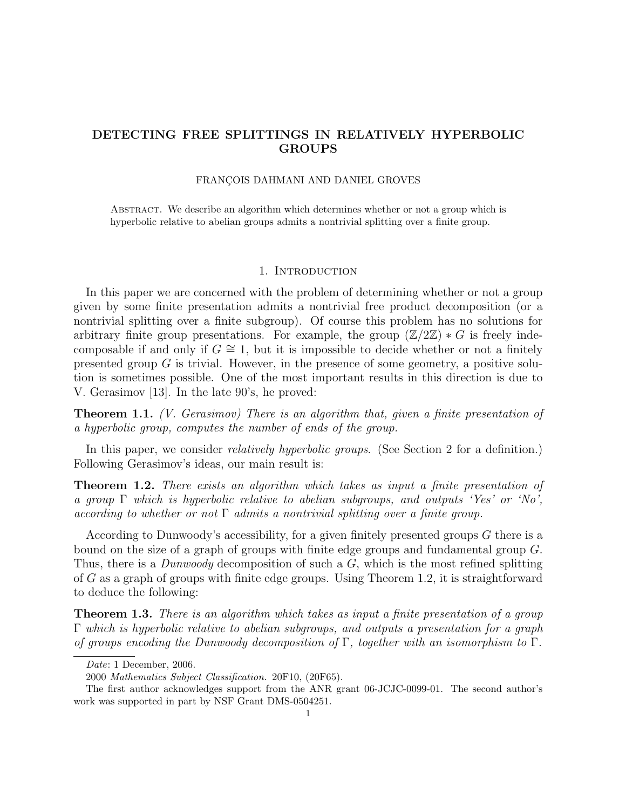# DETECTING FREE SPLITTINGS IN RELATIVELY HYPERBOLIC GROUPS

### FRANÇOIS DAHMANI AND DANIEL GROVES

Abstract. We describe an algorithm which determines whether or not a group which is hyperbolic relative to abelian groups admits a nontrivial splitting over a finite group.

#### 1. INTRODUCTION

In this paper we are concerned with the problem of determining whether or not a group given by some finite presentation admits a nontrivial free product decomposition (or a nontrivial splitting over a finite subgroup). Of course this problem has no solutions for arbitrary finite group presentations. For example, the group  $(\mathbb{Z}/2\mathbb{Z}) * G$  is freely indecomposable if and only if  $G \cong 1$ , but it is impossible to decide whether or not a finitely presented group  $G$  is trivial. However, in the presence of some geometry, a positive solution is sometimes possible. One of the most important results in this direction is due to V. Gerasimov [13]. In the late 90's, he proved:

**Theorem 1.1.** (V. Gerasimov) There is an algorithm that, given a finite presentation of a hyperbolic group, computes the number of ends of the group.

In this paper, we consider *relatively hyperbolic groups*. (See Section 2 for a definition.) Following Gerasimov's ideas, our main result is:

**Theorem 1.2.** There exists an algorithm which takes as input a finite presentation of a group  $\Gamma$  which is hyperbolic relative to abelian subgroups, and outputs 'Yes' or 'No', according to whether or not  $\Gamma$  admits a nontrivial splitting over a finite group.

According to Dunwoody's accessibility, for a given finitely presented groups G there is a bound on the size of a graph of groups with finite edge groups and fundamental group G. Thus, there is a Dunwoody decomposition of such a  $G$ , which is the most refined splitting of G as a graph of groups with finite edge groups. Using Theorem 1.2, it is straightforward to deduce the following:

**Theorem 1.3.** There is an algorithm which takes as input a finite presentation of a group  $\Gamma$  which is hyperbolic relative to abelian subgroups, and outputs a presentation for a graph of groups encoding the Dunwoody decomposition of  $\Gamma$ , together with an isomorphism to  $\Gamma$ .

Date: 1 December, 2006.

<sup>2000</sup> Mathematics Subject Classification. 20F10, (20F65).

The first author acknowledges support from the ANR grant 06-JCJC-0099-01. The second author's work was supported in part by NSF Grant DMS-0504251.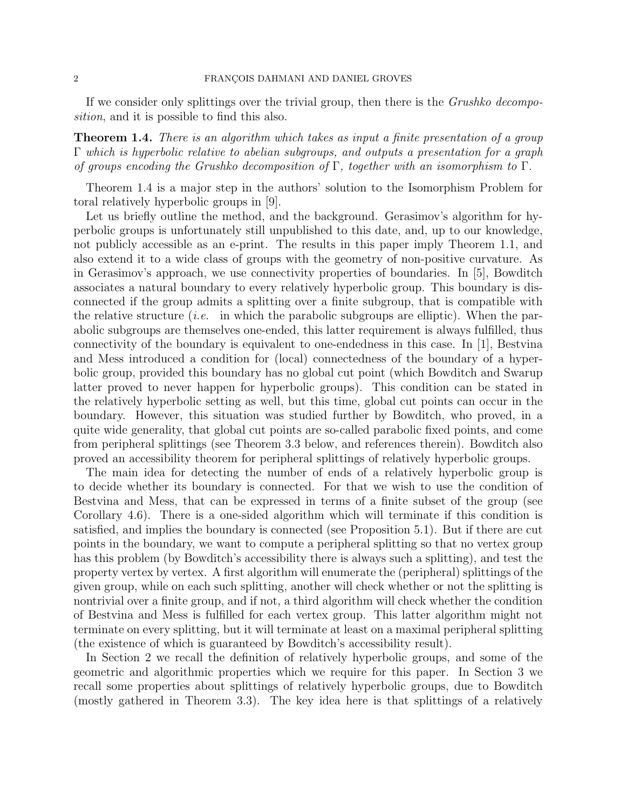If we consider only splittings over the trivial group, then there is the Grushko decomposition, and it is possible to find this also.

**Theorem 1.4.** There is an algorithm which takes as input a finite presentation of a group Γ which is hyperbolic relative to abelian subgroups, and outputs a presentation for a graph of groups encoding the Grushko decomposition of Γ, together with an isomorphism to Γ.

Theorem 1.4 is a major step in the authors' solution to the Isomorphism Problem for toral relatively hyperbolic groups in [9].

Let us briefly outline the method, and the background. Gerasimov's algorithm for hyperbolic groups is unfortunately still unpublished to this date, and, up to our knowledge, not publicly accessible as an e-print. The results in this paper imply Theorem 1.1, and also extend it to a wide class of groups with the geometry of non-positive curvature. As in Gerasimov's approach, we use connectivity properties of boundaries. In [5], Bowditch associates a natural boundary to every relatively hyperbolic group. This boundary is disconnected if the group admits a splitting over a finite subgroup, that is compatible with the relative structure *(i.e.* in which the parabolic subgroups are elliptic). When the parabolic subgroups are themselves one-ended, this latter requirement is always fulfilled, thus connectivity of the boundary is equivalent to one-endedness in this case. In [1], Bestvina and Mess introduced a condition for (local) connectedness of the boundary of a hyperbolic group, provided this boundary has no global cut point (which Bowditch and Swarup latter proved to never happen for hyperbolic groups). This condition can be stated in the relatively hyperbolic setting as well, but this time, global cut points can occur in the boundary. However, this situation was studied further by Bowditch, who proved, in a quite wide generality, that global cut points are so-called parabolic fixed points, and come from peripheral splittings (see Theorem 3.3 below, and references therein). Bowditch also proved an accessibility theorem for peripheral splittings of relatively hyperbolic groups.

The main idea for detecting the number of ends of a relatively hyperbolic group is to decide whether its boundary is connected. For that we wish to use the condition of Bestvina and Mess, that can be expressed in terms of a finite subset of the group (see Corollary 4.6). There is a one-sided algorithm which will terminate if this condition is satisfied, and implies the boundary is connected (see Proposition 5.1). But if there are cut points in the boundary, we want to compute a peripheral splitting so that no vertex group has this problem (by Bowditch's accessibility there is always such a splitting), and test the property vertex by vertex. A first algorithm will enumerate the (peripheral) splittings of the given group, while on each such splitting, another will check whether or not the splitting is nontrivial over a finite group, and if not, a third algorithm will check whether the condition of Bestvina and Mess is fulfilled for each vertex group. This latter algorithm might not terminate on every splitting, but it will terminate at least on a maximal peripheral splitting (the existence of which is guaranteed by Bowditch's accessibility result).

In Section 2 we recall the definition of relatively hyperbolic groups, and some of the geometric and algorithmic properties which we require for this paper. In Section 3 we recall some properties about splittings of relatively hyperbolic groups, due to Bowditch (mostly gathered in Theorem 3.3). The key idea here is that splittings of a relatively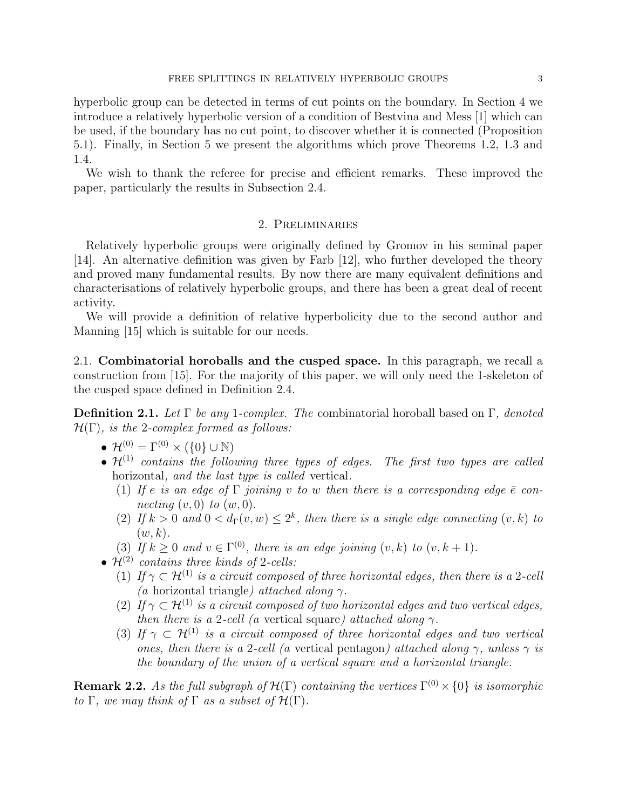hyperbolic group can be detected in terms of cut points on the boundary. In Section 4 we introduce a relatively hyperbolic version of a condition of Bestvina and Mess [1] which can be used, if the boundary has no cut point, to discover whether it is connected (Proposition 5.1). Finally, in Section 5 we present the algorithms which prove Theorems 1.2, 1.3 and 1.4.

We wish to thank the referee for precise and efficient remarks. These improved the paper, particularly the results in Subsection 2.4.

# 2. Preliminaries

Relatively hyperbolic groups were originally defined by Gromov in his seminal paper [14]. An alternative definition was given by Farb [12], who further developed the theory and proved many fundamental results. By now there are many equivalent definitions and characterisations of relatively hyperbolic groups, and there has been a great deal of recent activity.

We will provide a definition of relative hyperbolicity due to the second author and Manning [15] which is suitable for our needs.

2.1. Combinatorial horoballs and the cusped space. In this paragraph, we recall a construction from [15]. For the majority of this paper, we will only need the 1-skeleton of the cusped space defined in Definition 2.4.

**Definition 2.1.** Let  $\Gamma$  be any 1-complex. The combinatorial horoball based on  $\Gamma$ , denoted  $\mathcal{H}(\Gamma)$ , is the 2-complex formed as follows:

- $\mathcal{H}^{(0)} = \Gamma^{(0)} \times (\{0\} \cup \mathbb{N})$
- $\mathcal{H}^{(1)}$  contains the following three types of edges. The first two types are called horizontal, and the last type is called vertical.
	- (1) If e is an edge of  $\Gamma$  joining v to w then there is a corresponding edge  $\bar{e}$  connecting  $(v, 0)$  to  $(w, 0)$ .
	- (2) If  $k > 0$  and  $0 < d_{\Gamma}(v, w) \leq 2^k$ , then there is a single edge connecting  $(v, k)$  to  $(w, k)$ .
	- (3) If  $k \geq 0$  and  $v \in \Gamma^{(0)}$ , there is an edge joining  $(v, k)$  to  $(v, k + 1)$ .
- $\mathcal{H}^{(2)}$  contains three kinds of 2-cells:
	- (1) If  $\gamma \subset \mathcal{H}^{(1)}$  is a circuit composed of three horizontal edges, then there is a 2-cell (a horizontal triangle) attached along  $\gamma$ .
	- (2) If  $\gamma \subset \mathcal{H}^{(1)}$  is a circuit composed of two horizontal edges and two vertical edges, then there is a 2-cell (a vertical square) attached along  $\gamma$ .
	- (3) If  $\gamma \subset \mathcal{H}^{(1)}$  is a circuit composed of three horizontal edges and two vertical ones, then there is a 2-cell (a vertical pentagon) attached along  $\gamma$ , unless  $\gamma$  is the boundary of the union of a vertical square and a horizontal triangle.

**Remark 2.2.** As the full subgraph of  $\mathcal{H}(\Gamma)$  containing the vertices  $\Gamma^{(0)} \times \{0\}$  is isomorphic to  $\Gamma$ , we may think of  $\Gamma$  as a subset of  $\mathcal{H}(\Gamma)$ .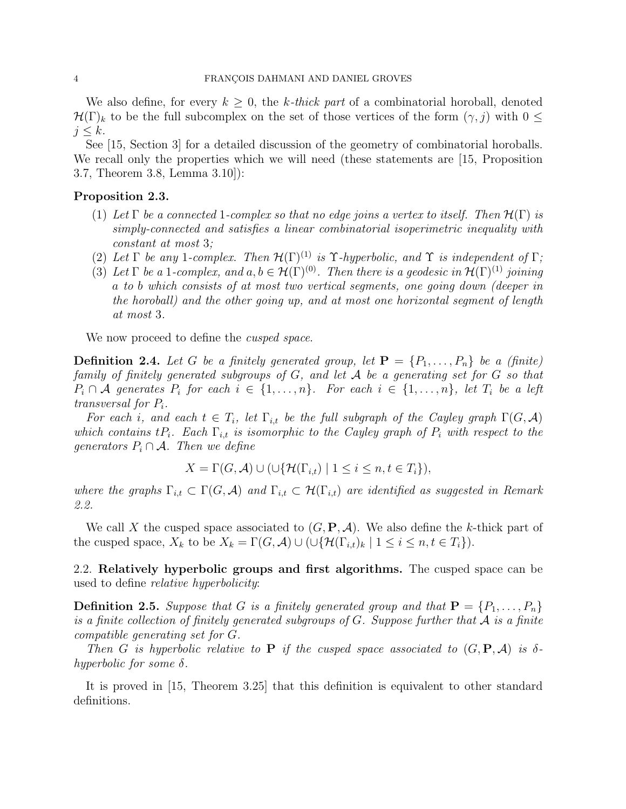We also define, for every  $k \geq 0$ , the k-thick part of a combinatorial horoball, denoted  $\mathcal{H}(\Gamma)_k$  to be the full subcomplex on the set of those vertices of the form  $(\gamma, j)$  with  $0 \leq$  $j \leq k$ .

See [15, Section 3] for a detailed discussion of the geometry of combinatorial horoballs. We recall only the properties which we will need (these statements are [15, Proposition 3.7, Theorem 3.8, Lemma 3.10]):

# Proposition 2.3.

- (1) Let  $\Gamma$  be a connected 1-complex so that no edge joins a vertex to itself. Then  $\mathcal{H}(\Gamma)$  is simply-connected and satisfies a linear combinatorial isoperimetric inequality with constant at most 3;
- (2) Let  $\Gamma$  be any 1-complex. Then  $\mathcal{H}(\Gamma)^{(1)}$  is  $\Upsilon$ -hyperbolic, and  $\Upsilon$  is independent of  $\Gamma$ ;
- (3) Let  $\Gamma$  be a 1-complex, and  $a, b \in \mathcal{H}(\Gamma)^{(0)}$ . Then there is a geodesic in  $\mathcal{H}(\Gamma)^{(1)}$  joining a to b which consists of at most two vertical segments, one going down (deeper in the horoball) and the other going up, and at most one horizontal segment of length at most 3.

We now proceed to define the *cusped space*.

**Definition 2.4.** Let G be a finitely generated group, let  $\mathbf{P} = \{P_1, \ldots, P_n\}$  be a (finite) family of finitely generated subgroups of  $G$ , and let  $A$  be a generating set for  $G$  so that  $P_i \cap \mathcal{A}$  generates  $P_i$  for each  $i \in \{1, \ldots, n\}$ . For each  $i \in \{1, \ldots, n\}$ , let  $T_i$  be a left transversal for  $P_i$ .

For each i, and each  $t \in T_i$ , let  $\Gamma_{i,t}$  be the full subgraph of the Cayley graph  $\Gamma(G, \mathcal{A})$ which contains  $tP_i$ . Each  $\Gamma_{i,t}$  is isomorphic to the Cayley graph of  $P_i$  with respect to the generators  $P_i \cap A$ . Then we define

$$
X = \Gamma(G, \mathcal{A}) \cup (\cup \{ \mathcal{H}(\Gamma_{i,t}) \mid 1 \le i \le n, t \in T_i \}),
$$

where the graphs  $\Gamma_{i,t} \subset \Gamma(G, \mathcal{A})$  and  $\Gamma_{i,t} \subset \mathcal{H}(\Gamma_{i,t})$  are identified as suggested in Remark 2.2.

We call X the cusped space associated to  $(G, P, A)$ . We also define the k-thick part of the cusped space,  $X_k$  to be  $X_k = \Gamma(G, \mathcal{A}) \cup (\cup \{ \mathcal{H}(\Gamma_{i,t})_k \mid 1 \leq i \leq n, t \in T_i \}).$ 

2.2. Relatively hyperbolic groups and first algorithms. The cusped space can be used to define relative hyperbolicity:

**Definition 2.5.** Suppose that G is a finitely generated group and that  $\mathbf{P} = \{P_1, \ldots, P_n\}$ is a finite collection of finitely generated subgroups of  $G$ . Suppose further that  $A$  is a finite compatible generating set for G.

Then G is hyperbolic relative to **P** if the cusped space associated to  $(G, \mathbf{P}, \mathcal{A})$  is  $\delta$ hyperbolic for some  $\delta$ .

It is proved in [15, Theorem 3.25] that this definition is equivalent to other standard definitions.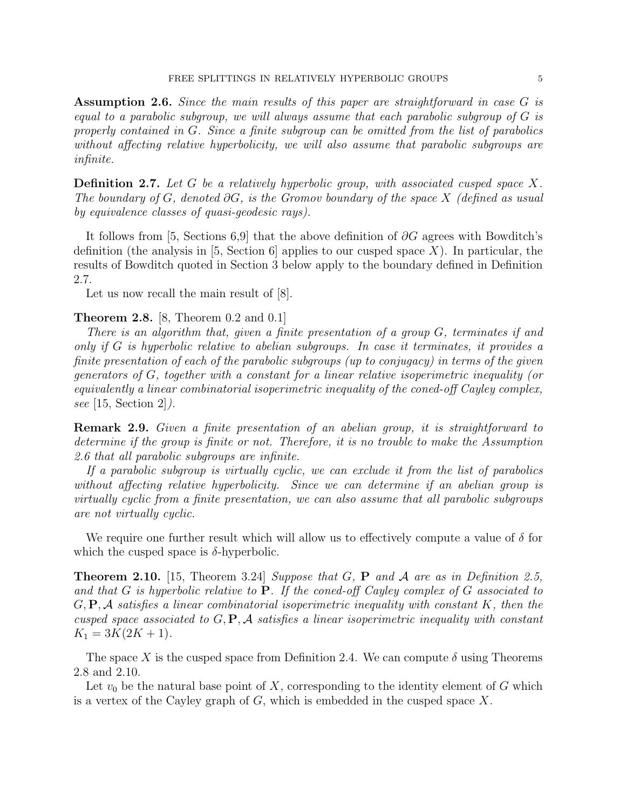Assumption 2.6. Since the main results of this paper are straightforward in case G is equal to a parabolic subgroup, we will always assume that each parabolic subgroup of  $G$  is properly contained in G. Since a finite subgroup can be omitted from the list of parabolics without affecting relative hyperbolicity, we will also assume that parabolic subgroups are infinite.

**Definition 2.7.** Let G be a relatively hyperbolic group, with associated cusped space X. The boundary of G, denoted  $\partial G$ , is the Gromov boundary of the space X (defined as usual by equivalence classes of quasi-geodesic rays).

It follows from [5, Sections 6,9] that the above definition of  $\partial G$  agrees with Bowditch's definition (the analysis in  $[5, \text{Section 6}]$  applies to our cusped space X). In particular, the results of Bowditch quoted in Section 3 below apply to the boundary defined in Definition 2.7.

Let us now recall the main result of [8].

#### **Theorem 2.8.** [8, Theorem 0.2 and 0.1]

There is an algorithm that, given a finite presentation of a group G, terminates if and only if G is hyperbolic relative to abelian subgroups. In case it terminates, it provides a finite presentation of each of the parabolic subgroups (up to conjugacy) in terms of the given generators of G, together with a constant for a linear relative isoperimetric inequality (or equivalently a linear combinatorial isoperimetric inequality of the coned-off Cayley complex, see [15, Section 2]).

Remark 2.9. Given a finite presentation of an abelian group, it is straightforward to determine if the group is finite or not. Therefore, it is no trouble to make the Assumption 2.6 that all parabolic subgroups are infinite.

If a parabolic subgroup is virtually cyclic, we can exclude it from the list of parabolics without affecting relative hyperbolicity. Since we can determine if an abelian group is virtually cyclic from a finite presentation, we can also assume that all parabolic subgroups are not virtually cyclic.

We require one further result which will allow us to effectively compute a value of  $\delta$  for which the cusped space is  $\delta$ -hyperbolic.

**Theorem 2.10.** [15, Theorem 3.24] Suppose that G, **P** and A are as in Definition 2.5, and that G is hyperbolic relative to  $P$ . If the coned-off Cayley complex of G associated to  $G, P, A$  satisfies a linear combinatorial isoperimetric inequality with constant K, then the cusped space associated to  $G, P, A$  satisfies a linear isoperimetric inequality with constant  $K_1 = 3K(2K + 1).$ 

The space X is the cusped space from Definition 2.4. We can compute  $\delta$  using Theorems 2.8 and 2.10.

Let  $v_0$  be the natural base point of X, corresponding to the identity element of G which is a vertex of the Cayley graph of  $G$ , which is embedded in the cusped space  $X$ .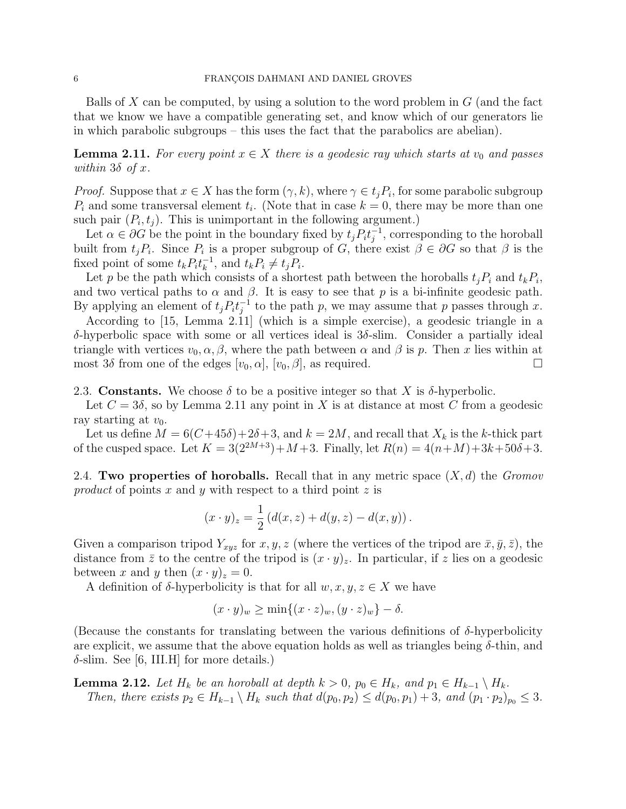Balls of X can be computed, by using a solution to the word problem in  $G$  (and the fact that we know we have a compatible generating set, and know which of our generators lie in which parabolic subgroups – this uses the fact that the parabolics are abelian).

**Lemma 2.11.** For every point  $x \in X$  there is a geodesic ray which starts at  $v_0$  and passes within  $3\delta$  of x.

*Proof.* Suppose that  $x \in X$  has the form  $(\gamma, k)$ , where  $\gamma \in t_j P_i$ , for some parabolic subgroup  $P_i$  and some transversal element  $t_i$ . (Note that in case  $k = 0$ , there may be more than one such pair  $(P_i, t_j)$ . This is unimportant in the following argument.)

Let  $\alpha \in \partial G$  be the point in the boundary fixed by  $t_j P_i t_j^{-1}$  $j^{-1}$ , corresponding to the horoball built from  $t_j P_i$ . Since  $P_i$  is a proper subgroup of G, there exist  $\beta \in \partial G$  so that  $\beta$  is the fixed point of some  $t_k P_i t_k^{-1}$  $\overline{k}^1$ , and  $t_k P_i \neq t_j P_i$ .

Let p be the path which consists of a shortest path between the horoballs  $t_j P_i$  and  $t_k P_i$ , and two vertical paths to  $\alpha$  and  $\beta$ . It is easy to see that p is a bi-infinite geodesic path. By applying an element of  $t_j P_i t_j^{-1}$  $j^{-1}$  to the path p, we may assume that p passes through x.

According to [15, Lemma 2.11] (which is a simple exercise), a geodesic triangle in a δ-hyperbolic space with some or all vertices ideal is 3δ-slim. Consider a partially ideal triangle with vertices  $v_0, \alpha, \beta$ , where the path between  $\alpha$  and  $\beta$  is p. Then x lies within at most 3δ from one of the edges  $[v_0, \alpha]$ ,  $[v_0, \beta]$ , as required.

2.3. Constants. We choose  $\delta$  to be a positive integer so that X is  $\delta$ -hyperbolic.

Let  $C = 3\delta$ , so by Lemma 2.11 any point in X is at distance at most C from a geodesic ray starting at  $v_0$ .

Let us define  $M = 6(C+45\delta) + 2\delta + 3$ , and  $k = 2M$ , and recall that  $X_k$  is the k-thick part of the cusped space. Let  $K = 3(2^{2M+3})+M+3$ . Finally, let  $R(n) = 4(n+M)+3k+50\delta+3$ .

2.4. Two properties of horoballs. Recall that in any metric space  $(X, d)$  the *Gromov* product of points x and y with respect to a third point z is

$$
(x \cdot y)_z = \frac{1}{2} (d(x, z) + d(y, z) - d(x, y)).
$$

Given a comparison tripod  $Y_{xyz}$  for  $x, y, z$  (where the vertices of the tripod are  $\bar{x}, \bar{y}, \bar{z}$ ), the distance from  $\bar{z}$  to the centre of the tripod is  $(x \cdot y)_z$ . In particular, if z lies on a geodesic between x and y then  $(x \cdot y)_z = 0$ .

A definition of  $\delta$ -hyperbolicity is that for all  $w, x, y, z \in X$  we have

$$
(x \cdot y)_w \ge \min\{(x \cdot z)_w, (y \cdot z)_w\} - \delta.
$$

(Because the constants for translating between the various definitions of  $\delta$ -hyperbolicity are explicit, we assume that the above equation holds as well as triangles being  $\delta$ -thin, and  $\delta$ -slim. See [6, III.H] for more details.)

**Lemma 2.12.** Let  $H_k$  be an horoball at depth  $k > 0$ ,  $p_0 \in H_k$ , and  $p_1 \in H_{k-1} \setminus H_k$ . Then, there exists  $p_2 \in H_{k-1} \setminus H_k$  such that  $d(p_0, p_2) \leq d(p_0, p_1) + 3$ , and  $(p_1 \cdot p_2)_{p_0} \leq 3$ .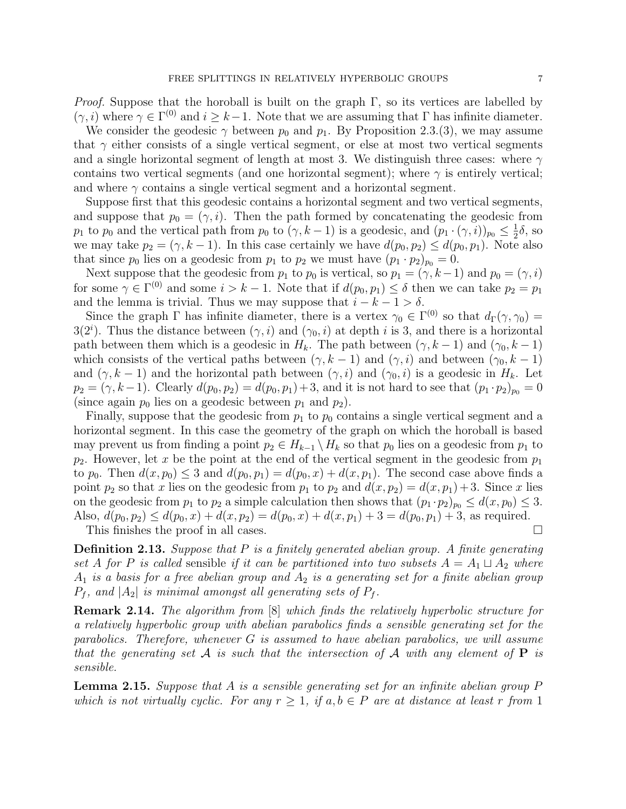*Proof.* Suppose that the horoball is built on the graph  $\Gamma$ , so its vertices are labelled by  $(\gamma, i)$  where  $\gamma \in \Gamma^{(0)}$  and  $i \geq k-1$ . Note that we are assuming that  $\Gamma$  has infinite diameter.

We consider the geodesic  $\gamma$  between  $p_0$  and  $p_1$ . By Proposition 2.3.(3), we may assume that  $\gamma$  either consists of a single vertical segment, or else at most two vertical segments and a single horizontal segment of length at most 3. We distinguish three cases: where  $\gamma$ contains two vertical segments (and one horizontal segment); where  $\gamma$  is entirely vertical; and where  $\gamma$  contains a single vertical segment and a horizontal segment.

Suppose first that this geodesic contains a horizontal segment and two vertical segments, and suppose that  $p_0 = (\gamma, i)$ . Then the path formed by concatenating the geodesic from  $p_1$  to  $p_0$  and the vertical path from  $p_0$  to  $(\gamma, k-1)$  is a geodesic, and  $(p_1 \cdot (\gamma, i))_{p_0} \leq \frac{1}{2}$  $\frac{1}{2}\delta$ , so we may take  $p_2 = (\gamma, k - 1)$ . In this case certainly we have  $d(p_0, p_2) \leq d(p_0, p_1)$ . Note also that since  $p_0$  lies on a geodesic from  $p_1$  to  $p_2$  we must have  $(p_1 \cdot p_2)_{p_0} = 0$ .

Next suppose that the geodesic from  $p_1$  to  $p_0$  is vertical, so  $p_1 = (\gamma, k-1)$  and  $p_0 = (\gamma, i)$ for some  $\gamma \in \Gamma^{(0)}$  and some  $i > k - 1$ . Note that if  $d(p_0, p_1) \leq \delta$  then we can take  $p_2 = p_1$ and the lemma is trivial. Thus we may suppose that  $i - k - 1 > \delta$ .

Since the graph  $\Gamma$  has infinite diameter, there is a vertex  $\gamma_0 \in \Gamma^{(0)}$  so that  $d_{\Gamma}(\gamma, \gamma_0) =$  $3(2^i)$ . Thus the distance between  $(\gamma, i)$  and  $(\gamma_0, i)$  at depth i is 3, and there is a horizontal path between them which is a geodesic in  $H_k$ . The path between  $(\gamma, k-1)$  and  $(\gamma_0, k-1)$ which consists of the vertical paths between  $(\gamma, k - 1)$  and  $(\gamma, i)$  and between  $(\gamma_0, k - 1)$ and  $(\gamma, k-1)$  and the horizontal path between  $(\gamma, i)$  and  $(\gamma_0, i)$  is a geodesic in  $H_k$ . Let  $p_2 = (\gamma, k-1)$ . Clearly  $d(p_0, p_2) = d(p_0, p_1) + 3$ , and it is not hard to see that  $(p_1 \cdot p_2)_{p_0} = 0$ (since again  $p_0$  lies on a geodesic between  $p_1$  and  $p_2$ ).

Finally, suppose that the geodesic from  $p_1$  to  $p_0$  contains a single vertical segment and a horizontal segment. In this case the geometry of the graph on which the horoball is based may prevent us from finding a point  $p_2 \in H_{k-1} \setminus H_k$  so that  $p_0$  lies on a geodesic from  $p_1$  to  $p_2$ . However, let x be the point at the end of the vertical segment in the geodesic from  $p_1$ to  $p_0$ . Then  $d(x, p_0) \leq 3$  and  $d(p_0, p_1) = d(p_0, x) + d(x, p_1)$ . The second case above finds a point  $p_2$  so that x lies on the geodesic from  $p_1$  to  $p_2$  and  $d(x, p_2) = d(x, p_1) + 3$ . Since x lies on the geodesic from  $p_1$  to  $p_2$  a simple calculation then shows that  $(p_1 \cdot p_2)_{p_0} \leq d(x, p_0) \leq 3$ . Also,  $d(p_0, p_2) \leq d(p_0, x) + d(x, p_2) = d(p_0, x) + d(x, p_1) + 3 = d(p_0, p_1) + 3$ , as required.

This finishes the proof in all cases.

**Definition 2.13.** Suppose that  $P$  is a finitely generated abelian group. A finite generating set A for P is called sensible if it can be partitioned into two subsets  $A = A_1 \sqcup A_2$  where  $A_1$  is a basis for a free abelian group and  $A_2$  is a generating set for a finite abelian group  $P_f$ , and  $|A_2|$  is minimal amongst all generating sets of  $P_f$ .

Remark 2.14. The algorithm from [8] which finds the relatively hyperbolic structure for a relatively hyperbolic group with abelian parabolics finds a sensible generating set for the parabolics. Therefore, whenever G is assumed to have abelian parabolics, we will assume that the generating set A is such that the intersection of A with any element of  $P$  is sensible.

**Lemma 2.15.** Suppose that A is a sensible generating set for an infinite abelian group  $P$ which is not virtually cyclic. For any  $r \geq 1$ , if  $a, b \in P$  are at distance at least r from 1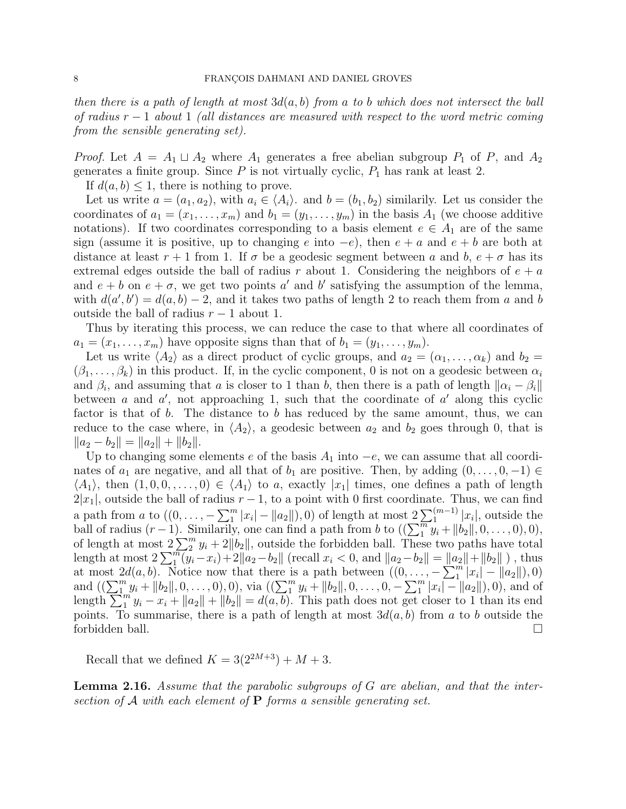then there is a path of length at most  $3d(a, b)$  from a to b which does not intersect the ball of radius  $r - 1$  about 1 (all distances are measured with respect to the word metric coming from the sensible generating set).

*Proof.* Let  $A = A_1 \sqcup A_2$  where  $A_1$  generates a free abelian subgroup  $P_1$  of P, and  $A_2$ generates a finite group. Since  $P$  is not virtually cyclic,  $P_1$  has rank at least 2.

If  $d(a, b) \leq 1$ , there is nothing to prove.

Let us write  $a = (a_1, a_2)$ , with  $a_i \in \langle A_i \rangle$ . and  $b = (b_1, b_2)$  similarily. Let us consider the coordinates of  $a_1 = (x_1, \ldots, x_m)$  and  $b_1 = (y_1, \ldots, y_m)$  in the basis  $A_1$  (we choose additive notations). If two coordinates corresponding to a basis element  $e \in A_1$  are of the same sign (assume it is positive, up to changing e into  $-e$ ), then  $e + a$  and  $e + b$  are both at distance at least  $r + 1$  from 1. If  $\sigma$  be a geodesic segment between a and b,  $e + \sigma$  has its extremal edges outside the ball of radius r about 1. Considering the neighbors of  $e + a$ and  $e + b$  on  $e + \sigma$ , we get two points a' and b' satisfying the assumption of the lemma, with  $d(a', b') = d(a, b) - 2$ , and it takes two paths of length 2 to reach them from a and b outside the ball of radius  $r - 1$  about 1.

Thus by iterating this process, we can reduce the case to that where all coordinates of  $a_1 = (x_1, \ldots, x_m)$  have opposite signs than that of  $b_1 = (y_1, \ldots, y_m)$ .

Let us write  $\langle A_2 \rangle$  as a direct product of cyclic groups, and  $a_2 = (\alpha_1, \ldots, \alpha_k)$  and  $b_2 =$  $(\beta_1, \ldots, \beta_k)$  in this product. If, in the cyclic component, 0 is not on a geodesic between  $\alpha_i$ and  $\beta_i$ , and assuming that a is closer to 1 than b, then there is a path of length  $\|\alpha_i - \beta_i\|$ between  $a$  and  $a'$ , not approaching 1, such that the coordinate of  $a'$  along this cyclic factor is that of  $b$ . The distance to  $b$  has reduced by the same amount, thus, we can reduce to the case where, in  $\langle A_2 \rangle$ , a geodesic between  $a_2$  and  $b_2$  goes through 0, that is  $||a_2 - b_2|| = ||a_2|| + ||b_2||.$ 

Up to changing some elements e of the basis  $A_1$  into  $-e$ , we can assume that all coordinates of  $a_1$  are negative, and all that of  $b_1$  are positive. Then, by adding  $(0, \ldots, 0, -1) \in$  $\langle A_1 \rangle$ , then  $(1, 0, 0, \ldots, 0) \in \langle A_1 \rangle$  to a, exactly  $|x_1|$  times, one defines a path of length  $2|x_1|$ , outside the ball of radius  $r-1$ , to a point with 0 first coordinate. Thus, we can find a path from a to  $((0, \ldots, -\sum_{1}^{m} |x_i| - ||a_2||), 0)$  of length at most  $2 \sum_{1}^{(m-1)} |x_i|$ , outside the ball of radius  $(r-1)$ . Similarly, one can find a path from b to  $((\sum_{1}^{m} y_i + ||b_2||, 0, \ldots, 0), 0),$ of length at most  $2\sum_{i=1}^{m} y_i + 2||b_i||$ , outside the forbidden ball. These two paths have total length at most  $2\sum_{1}^{m} (y_i - x_i) + 2||a_2 - b_2||$  (recall  $x_i < 0$ , and  $||a_2 - b_2|| = ||a_2|| + ||b_2||$ ), thus at most  $2d(a, b)$ . Notice now that there is a path between  $((0, \ldots, -\sum_{1}^{m} |x_i| - ||a_2||)$ , 0) and  $((\sum_{i=1}^{m} y_i + ||b_2||, 0, \ldots, 0), 0)$ , via  $((\sum_{i=1}^{m} y_i + ||b_2||, 0, \ldots, 0, -\sum_{i=1}^{m} |x_i| - ||a_2||), 0)$ , and of length  $\sum_{i=1}^{m} y_i - x_i + ||a_2|| + ||b_2|| = d(a, b)$ . This path does not get closer to 1 than its end points. To summarise, there is a path of length at most  $3d(a, b)$  from a to b outside the forbidden ball.

Recall that we defined  $K = 3(2^{2M+3}) + M + 3$ .

Lemma 2.16. Assume that the parabolic subgroups of G are abelian, and that the intersection of A with each element of  $P$  forms a sensible generating set.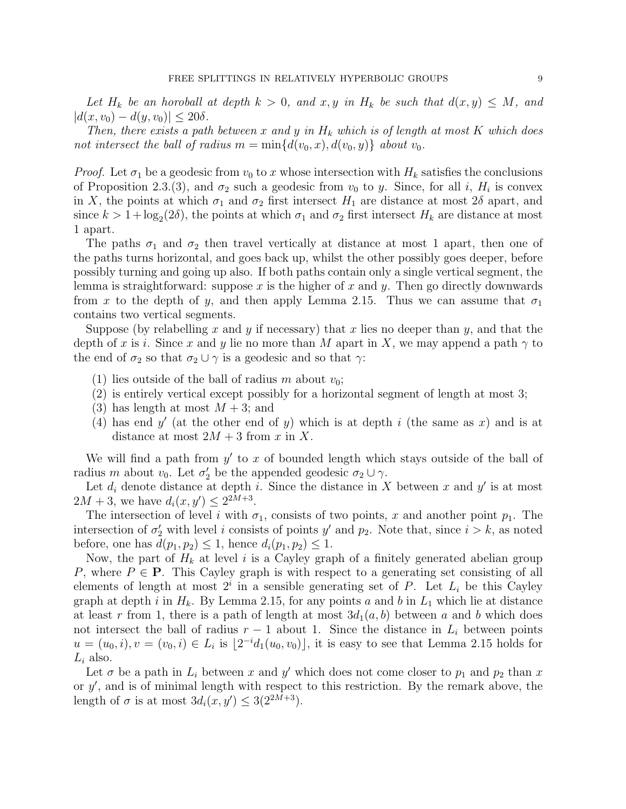Let  $H_k$  be an horoball at depth  $k > 0$ , and  $x, y$  in  $H_k$  be such that  $d(x, y) \leq M$ , and  $|d(x, v_0) - d(y, v_0)| \leq 20\delta.$ 

Then, there exists a path between x and y in  $H_k$  which is of length at most K which does not intersect the ball of radius  $m = \min\{d(v_0, x), d(v_0, y)\}\$ about  $v_0$ .

*Proof.* Let  $\sigma_1$  be a geodesic from  $v_0$  to x whose intersection with  $H_k$  satisfies the conclusions of Proposition 2.3.(3), and  $\sigma_2$  such a geodesic from  $v_0$  to y. Since, for all i,  $H_i$  is convex in X, the points at which  $\sigma_1$  and  $\sigma_2$  first intersect  $H_1$  are distance at most  $2\delta$  apart, and since  $k > 1 + \log_2(2\delta)$ , the points at which  $\sigma_1$  and  $\sigma_2$  first intersect  $H_k$  are distance at most 1 apart.

The paths  $\sigma_1$  and  $\sigma_2$  then travel vertically at distance at most 1 apart, then one of the paths turns horizontal, and goes back up, whilst the other possibly goes deeper, before possibly turning and going up also. If both paths contain only a single vertical segment, the lemma is straightforward: suppose x is the higher of x and y. Then go directly downwards from x to the depth of y, and then apply Lemma 2.15. Thus we can assume that  $\sigma_1$ contains two vertical segments.

Suppose (by relabelling x and y if necessary) that x lies no deeper than y, and that the depth of x is i. Since x and y lie no more than M apart in X, we may append a path  $\gamma$  to the end of  $\sigma_2$  so that  $\sigma_2 \cup \gamma$  is a geodesic and so that  $\gamma$ :

- (1) lies outside of the ball of radius m about  $v_0$ ;
- (2) is entirely vertical except possibly for a horizontal segment of length at most 3;
- (3) has length at most  $M + 3$ ; and
- (4) has end y' (at the other end of y) which is at depth i (the same as x) and is at distance at most  $2M + 3$  from x in X.

We will find a path from  $y'$  to x of bounded length which stays outside of the ball of radius m about  $v_0$ . Let  $\sigma'_2$  be the appended geodesic  $\sigma_2 \cup \gamma$ .

Let  $d_i$  denote distance at depth i. Since the distance in X between x and y' is at most  $2M + 3$ , we have  $d_i(x, y') \leq 2^{2M+3}$ .

The intersection of level i with  $\sigma_1$ , consists of two points, x and another point  $p_1$ . The intersection of  $\sigma'_2$  with level i consists of points y' and  $p_2$ . Note that, since  $i > k$ , as noted before, one has  $d(p_1, p_2) \leq 1$ , hence  $d_i(p_1, p_2) \leq 1$ .

Now, the part of  $H_k$  at level i is a Cayley graph of a finitely generated abelian group P, where  $P \in \mathbf{P}$ . This Cayley graph is with respect to a generating set consisting of all elements of length at most  $2^i$  in a sensible generating set of P. Let  $L_i$  be this Cayley graph at depth i in  $H_k$ . By Lemma 2.15, for any points a and b in  $L_1$  which lie at distance at least r from 1, there is a path of length at most  $3d_1(a, b)$  between a and b which does not intersect the ball of radius  $r - 1$  about 1. Since the distance in  $L_i$  between points  $u = (u_0, i), v = (v_0, i) \in L_i$  is  $[2^{-i}d_1(u_0, v_0)],$  it is easy to see that Lemma 2.15 holds for  $L_i$  also.

Let  $\sigma$  be a path in  $L_i$  between x and y' which does not come closer to  $p_1$  and  $p_2$  than x or  $y'$ , and is of minimal length with respect to this restriction. By the remark above, the length of  $\sigma$  is at most  $3d_i(x, y') \leq 3(2^{2M+3})$ .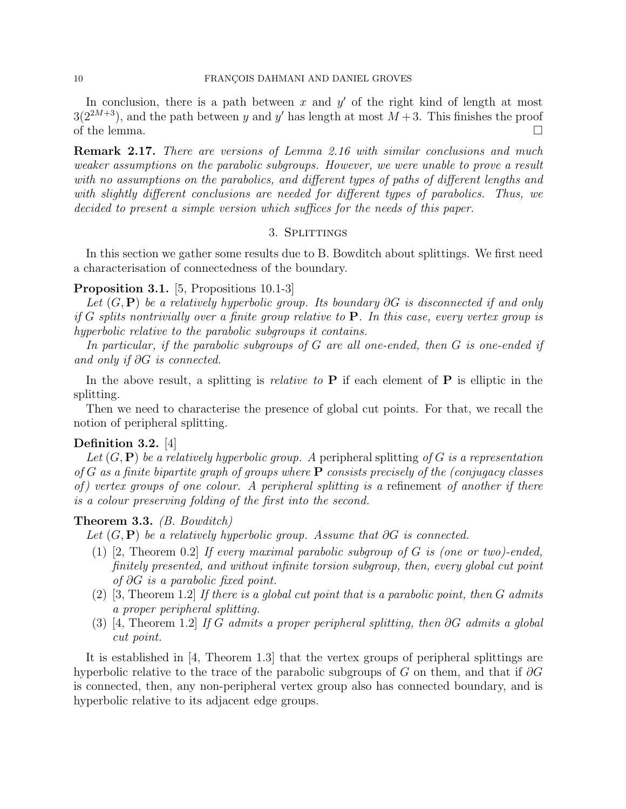In conclusion, there is a path between  $x$  and  $y'$  of the right kind of length at most  $3(2^{2M+3})$ , and the path between y and y' has length at most  $M+3$ . This finishes the proof of the lemma.  $\Box$ 

Remark 2.17. There are versions of Lemma 2.16 with similar conclusions and much weaker assumptions on the parabolic subgroups. However, we were unable to prove a result with no assumptions on the parabolics, and different types of paths of different lengths and with slightly different conclusions are needed for different types of parabolics. Thus, we decided to present a simple version which suffices for the needs of this paper.

# 3. SPLITTINGS

In this section we gather some results due to B. Bowditch about splittings. We first need a characterisation of connectedness of the boundary.

# Proposition 3.1. [5, Propositions 10.1-3]

Let  $(G, P)$  be a relatively hyperbolic group. Its boundary  $\partial G$  is disconnected if and only if G splits nontrivially over a finite group relative to  $P$ . In this case, every vertex group is hyperbolic relative to the parabolic subgroups it contains.

In particular, if the parabolic subgroups of G are all one-ended, then G is one-ended if and only if ∂G is connected.

In the above result, a splitting is *relative to*  $\bf{P}$  if each element of  $\bf{P}$  is elliptic in the splitting.

Then we need to characterise the presence of global cut points. For that, we recall the notion of peripheral splitting.

# Definition 3.2. [4]

Let  $(G, \mathbf{P})$  be a relatively hyperbolic group. A peripheral splitting of G is a representation of G as a finite bipartite graph of groups where  $P$  consists precisely of the (conjugacy classes of) vertex groups of one colour. A peripheral splitting is a refinement of another if there is a colour preserving folding of the first into the second.

# Theorem 3.3. (B. Bowditch)

Let  $(G, P)$  be a relatively hyperbolic group. Assume that ∂G is connected.

- (1) [2, Theorem 0.2] If every maximal parabolic subgroup of  $G$  is (one or two)-ended, finitely presented, and without infinite torsion subgroup, then, every global cut point of ∂G is a parabolic fixed point.
- (2) [3, Theorem 1.2] If there is a global cut point that is a parabolic point, then G admits a proper peripheral splitting.
- (3) [4, Theorem 1.2] If G admits a proper peripheral splitting, then  $\partial G$  admits a global cut point.

It is established in [4, Theorem 1.3] that the vertex groups of peripheral splittings are hyperbolic relative to the trace of the parabolic subgroups of G on them, and that if  $\partial G$ is connected, then, any non-peripheral vertex group also has connected boundary, and is hyperbolic relative to its adjacent edge groups.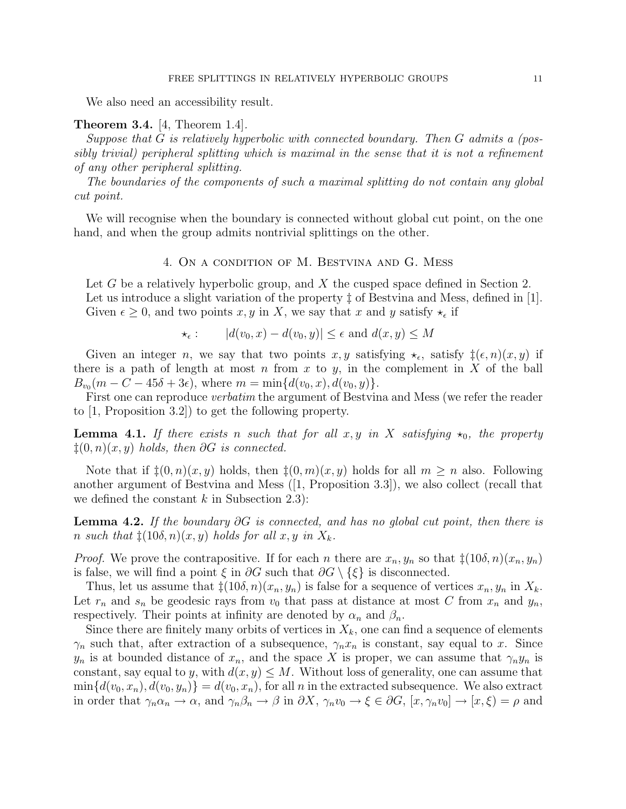We also need an accessibility result.

### Theorem 3.4. [4, Theorem 1.4].

Suppose that  $G$  is relatively hyperbolic with connected boundary. Then  $G$  admits a (possibly trivial) peripheral splitting which is maximal in the sense that it is not a refinement of any other peripheral splitting.

The boundaries of the components of such a maximal splitting do not contain any global cut point.

We will recognise when the boundary is connected without global cut point, on the one hand, and when the group admits nontrivial splittings on the other.

#### 4. On a condition of M. Bestvina and G. Mess

Let G be a relatively hyperbolic group, and X the cusped space defined in Section 2. Let us introduce a slight variation of the property  $\ddagger$  of Bestvina and Mess, defined in [1]. Given  $\epsilon \geq 0$ , and two points  $x, y$  in X, we say that x and y satisfy  $\star_{\epsilon}$  if

> $\star_{\epsilon}$ :  $|d(v_0, x) - d(v_0, y)| \leq \epsilon$  and  $d(x, y) \leq M$

Given an integer n, we say that two points x, y satisfying  $\star_{\epsilon}$ , satisfy  $\ddagger(\epsilon, n)(x, y)$  if there is a path of length at most  $n$  from  $x$  to  $y$ , in the complement in  $X$  of the ball  $B_{v_0}(m - C - 45\delta + 3\epsilon)$ , where  $m = \min\{d(v_0, x), d(v_0, y)\}.$ 

First one can reproduce verbatim the argument of Bestvina and Mess (we refer the reader to [1, Proposition 3.2]) to get the following property.

**Lemma 4.1.** If there exists n such that for all x, y in X satisfying  $\star_0$ , the property  $\ddagger(0, n)(x, y)$  holds, then ∂G is connected.

Note that if  $\ddagger(0, n)(x, y)$  holds, then  $\ddagger(0, m)(x, y)$  holds for all  $m \geq n$  also. Following another argument of Bestvina and Mess ([1, Proposition 3.3]), we also collect (recall that we defined the constant  $k$  in Subsection 2.3):

**Lemma 4.2.** If the boundary  $\partial G$  is connected, and has no global cut point, then there is n such that  $\ddagger(10\delta, n)(x, y)$  holds for all  $x, y$  in  $X_k$ .

*Proof.* We prove the contrapositive. If for each n there are  $x_n, y_n$  so that  $\ddagger(10\delta, n)(x_n, y_n)$ is false, we will find a point  $\xi$  in  $\partial G$  such that  $\partial G \setminus {\xi}$  is disconnected.

Thus, let us assume that  $\ddagger(10\delta, n)(x_n, y_n)$  is false for a sequence of vertices  $x_n, y_n$  in  $X_k$ . Let  $r_n$  and  $s_n$  be geodesic rays from  $v_0$  that pass at distance at most C from  $x_n$  and  $y_n$ , respectively. Their points at infinity are denoted by  $\alpha_n$  and  $\beta_n$ .

Since there are finitely many orbits of vertices in  $X_k$ , one can find a sequence of elements  $\gamma_n$  such that, after extraction of a subsequence,  $\gamma_n x_n$  is constant, say equal to x. Since  $y_n$  is at bounded distance of  $x_n$ , and the space X is proper, we can assume that  $\gamma_n y_n$  is constant, say equal to y, with  $d(x, y) \leq M$ . Without loss of generality, one can assume that  $\min\{d(v_0, x_n), d(v_0, y_n)\} = d(v_0, x_n)$ , for all n in the extracted subsequence. We also extract in order that  $\gamma_n \alpha_n \to \alpha$ , and  $\gamma_n \beta_n \to \beta$  in  $\partial X$ ,  $\gamma_n v_0 \to \xi \in \partial G$ ,  $[x, \gamma_n v_0] \to [x, \xi] = \rho$  and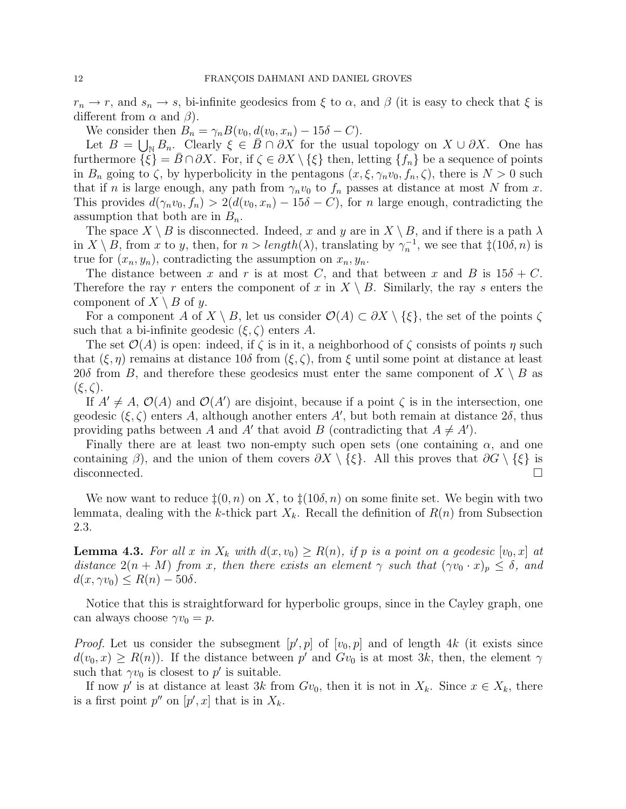$r_n \to r$ , and  $s_n \to s$ , bi-infinite geodesics from  $\xi$  to  $\alpha$ , and  $\beta$  (it is easy to check that  $\xi$  is different from  $\alpha$  and  $\beta$ ).

We consider then  $B_n = \gamma_n B(v_0, d(v_0, x_n) - 15\delta - C)$ .

Let  $B = \bigcup_{\mathbb{N}} B_n$ . Clearly  $\xi \in \overline{B} \cap \partial X$  for the usual topology on  $X \cup \partial X$ . One has furthermore  $\{\xi\} = B \cap \partial X$ . For, if  $\zeta \in \partial X \setminus \{\xi\}$  then, letting  $\{f_n\}$  be a sequence of points in  $B_n$  going to  $\zeta$ , by hyperbolicity in the pentagons  $(x, \xi, \gamma_n v_0, f_n, \zeta)$ , there is  $N > 0$  such that if n is large enough, any path from  $\gamma_n v_0$  to  $f_n$  passes at distance at most N from x. This provides  $d(\gamma_n v_0, f_n) > 2(d(v_0, x_n) - 15\delta - C)$ , for *n* large enough, contradicting the assumption that both are in  $B_n$ .

The space  $X \setminus B$  is disconnected. Indeed, x and y are in  $X \setminus B$ , and if there is a path  $\lambda$ in  $X \setminus B$ , from x to y, then, for  $n > length(\lambda)$ , translating by  $\gamma_n^{-1}$ , we see that  $\ddagger(10\delta, n)$  is true for  $(x_n, y_n)$ , contradicting the assumption on  $x_n, y_n$ .

The distance between x and r is at most C, and that between x and B is  $15\delta + C$ . Therefore the ray r enters the component of x in  $X \setminus B$ . Similarly, the ray s enters the component of  $X \setminus B$  of y.

For a component A of  $X \setminus B$ , let us consider  $\mathcal{O}(A) \subset \partial X \setminus \{\xi\}$ , the set of the points  $\zeta$ such that a bi-infinite geodesic  $(\xi, \zeta)$  enters A.

The set  $\mathcal{O}(A)$  is open: indeed, if  $\zeta$  is in it, a neighborhood of  $\zeta$  consists of points  $\eta$  such that  $(\xi, \eta)$  remains at distance 10δ from  $(\xi, \zeta)$ , from  $\xi$  until some point at distance at least 20δ from B, and therefore these geodesics must enter the same component of  $X \setminus B$  as  $(\xi, \zeta)$ .

If  $A' \neq A$ ,  $\mathcal{O}(A)$  and  $\mathcal{O}(A')$  are disjoint, because if a point  $\zeta$  is in the intersection, one geodesic  $(\xi, \zeta)$  enters A, although another enters A', but both remain at distance  $2\delta$ , thus providing paths between A and A' that avoid B (contradicting that  $A \neq A'$ ).

Finally there are at least two non-empty such open sets (one containing  $\alpha$ , and one containing  $\beta$ ), and the union of them covers  $\partial X \setminus \{\xi\}$ . All this proves that  $\partial G \setminus \{\xi\}$  is disconnected.

We now want to reduce  $\ddagger(0, n)$  on X, to  $\ddagger(10\delta, n)$  on some finite set. We begin with two lemmata, dealing with the k-thick part  $X_k$ . Recall the definition of  $R(n)$  from Subsection 2.3.

**Lemma 4.3.** For all x in  $X_k$  with  $d(x, v_0) \ge R(n)$ , if p is a point on a geodesic  $[v_0, x]$  at distance  $2(n + M)$  from x, then there exists an element  $\gamma$  such that  $(\gamma v_0 \cdot x)_p \leq \delta$ , and  $d(x, \gamma v_0) \leq R(n) - 50\delta.$ 

Notice that this is straightforward for hyperbolic groups, since in the Cayley graph, one can always choose  $\gamma v_0 = p$ .

*Proof.* Let us consider the subsegment  $[p', p]$  of  $[v_0, p]$  and of length 4k (it exists since  $d(v_0, x) \ge R(n)$ . If the distance between p' and  $Gv_0$  is at most 3k, then, the element  $\gamma$ such that  $\gamma v_0$  is closest to  $p'$  is suitable.

If now p' is at distance at least 3k from  $Gv_0$ , then it is not in  $X_k$ . Since  $x \in X_k$ , there is a first point  $p''$  on  $[p', x]$  that is in  $X_k$ .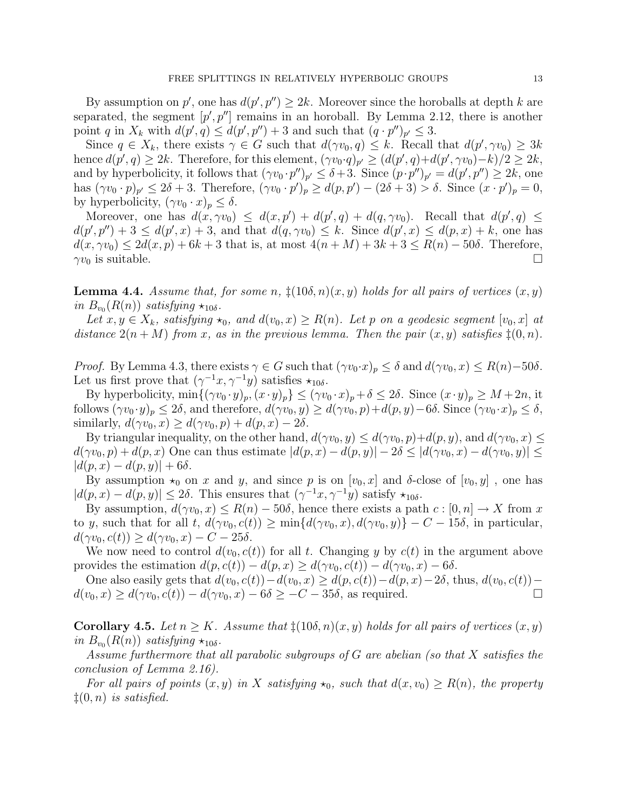By assumption on p', one has  $d(p', p'') \geq 2k$ . Moreover since the horoballs at depth k are separated, the segment  $[p', p'']$  remains in an horoball. By Lemma 2.12, there is another point q in  $X_k$  with  $d(p', q) \leq d(p', p'') + 3$  and such that  $(q \cdot p'')_{p'} \leq 3$ .

Since  $q \in X_k$ , there exists  $\gamma \in G$  such that  $d(\gamma v_0, q) \leq k$ . Recall that  $d(p', \gamma v_0) \geq 3k$ hence  $d(p', q) \ge 2k$ . Therefore, for this element,  $(\gamma v_0 \cdot q)_{p'} \ge (d(p', q) + d(p', \gamma v_0) - k)/2 \ge 2k$ , and by hyperbolicity, it follows that  $(\gamma v_0 \cdot p'')_{p'} \leq \delta + 3$ . Since  $(p \cdot p'')_{p'} = d(p', p'') \geq 2k$ , one has  $(\gamma v_0 \cdot p)_{p'} \leq 2\delta + 3$ . Therefore,  $(\gamma v_0 \cdot p')_p \geq d(p, p') - (2\delta + 3) > \delta$ . Since  $(x \cdot p')_p = 0$ , by hyperbolicity,  $(\gamma v_0 \cdot x)_p \leq \delta$ .

Moreover, one has  $d(x, \gamma v_0) \leq d(x, p') + d(p', q) + d(q, \gamma v_0)$ . Recall that  $d(p', q) \leq$  $d(p', p'') + 3 \le d(p', x) + 3$ , and that  $d(q, \gamma v_0) \le k$ . Since  $d(p', x) \le d(p, x) + k$ , one has  $d(x, \gamma v_0) \leq 2d(x, p) + 6k + 3$  that is, at most  $4(n + M) + 3k + 3 \leq R(n) - 50\delta$ . Therefore,  $\gamma v_0$  is suitable.

**Lemma 4.4.** Assume that, for some n,  $\ddagger(10\delta, n)(x, y)$  holds for all pairs of vertices  $(x, y)$ in  $B_{v_0}(R(n))$  satisfying  $\star_{10\delta}$ .

Let  $x, y \in X_k$ , satisfying  $\star_0$ , and  $d(v_0, x) \ge R(n)$ . Let p on a geodesic segment  $[v_0, x]$  at distance  $2(n + M)$  from x, as in the previous lemma. Then the pair  $(x, y)$  satisfies  $\ddagger(0, n)$ .

*Proof.* By Lemma 4.3, there exists  $\gamma \in G$  such that  $(\gamma v_0 \cdot x)_p \leq \delta$  and  $d(\gamma v_0, x) \leq R(n) - 50\delta$ . Let us first prove that  $(\gamma^{-1}x, \gamma^{-1}y)$  satisfies  $\star_{10\delta}$ .

By hyperbolicity,  $\min\{(\gamma v_0 \cdot y)_p, (x \cdot y)_p\} \le (\gamma v_0 \cdot x)_p + \delta \le 2\delta$ . Since  $(x \cdot y)_p \ge M + 2n$ , it follows  $(\gamma v_0 \cdot y)_p \le 2\delta$ , and therefore,  $d(\gamma v_0, y) \ge d(\gamma v_0, p) + d(p, y) - 6\delta$ . Since  $(\gamma v_0 \cdot x)_p \le \delta$ , similarly,  $d(\gamma v_0, x) \geq d(\gamma v_0, p) + d(p, x) - 2\delta$ .

By triangular inequality, on the other hand,  $d(\gamma v_0, y) \leq d(\gamma v_0, p) + d(p, y)$ , and  $d(\gamma v_0, x) \leq d(\gamma v_0, y)$  $d(\gamma v_0, p) + d(p, x)$  One can thus estimate  $|d(p, x) - d(p, y)| - 2\delta \leq |d(\gamma v_0, x) - d(\gamma v_0, y)| \leq$  $|d(p, x) - d(p, y)| + 6\delta.$ 

By assumption  $\star_0$  on x and y, and since p is on  $[v_0, x]$  and  $\delta$ -close of  $[v_0, y]$ , one has  $|d(p,x) - d(p,y)| \le 2\delta$ . This ensures that  $(\gamma^{-1}x, \gamma^{-1}y)$  satisfy  $\star_{10\delta}$ .

By assumption,  $d(\gamma v_0, x) \leq R(n) - 50\delta$ , hence there exists a path  $c : [0, n] \to X$  from x to y, such that for all t,  $d(\gamma v_0, c(t)) \ge \min\{d(\gamma v_0, x), d(\gamma v_0, y)\} - C - 15\delta$ , in particular,  $d(\gamma v_0, c(t)) \geq d(\gamma v_0, x) - C - 25\delta.$ 

We now need to control  $d(v_0, c(t))$  for all t. Changing y by  $c(t)$  in the argument above provides the estimation  $d(p, c(t)) - d(p, x) \geq d(\gamma v_0, c(t)) - d(\gamma v_0, x) - 6\delta$ .

One also easily gets that  $d(v_0, c(t)) - d(v_0, x) \geq d(p, c(t)) - d(p, x) - 2\delta$ , thus,  $d(v_0, c(t))$  $d(v_0, x) \geq d(\gamma v_0, c(t)) - d(\gamma v_0, x) - 6\delta \geq -C - 35\delta$ , as required.

**Corollary 4.5.** Let  $n \geq K$ . Assume that  $\ddagger(10\delta, n)(x, y)$  holds for all pairs of vertices  $(x, y)$ in  $B_{v_0}(R(n))$  satisfying  $\star_{10\delta}$ .

Assume furthermore that all parabolic subgroups of G are abelian (so that X satisfies the conclusion of Lemma 2.16).

For all pairs of points  $(x, y)$  in X satisfying  $\star_0$ , such that  $d(x, v_0) \ge R(n)$ , the property  $\ddagger(0, n)$  is satisfied.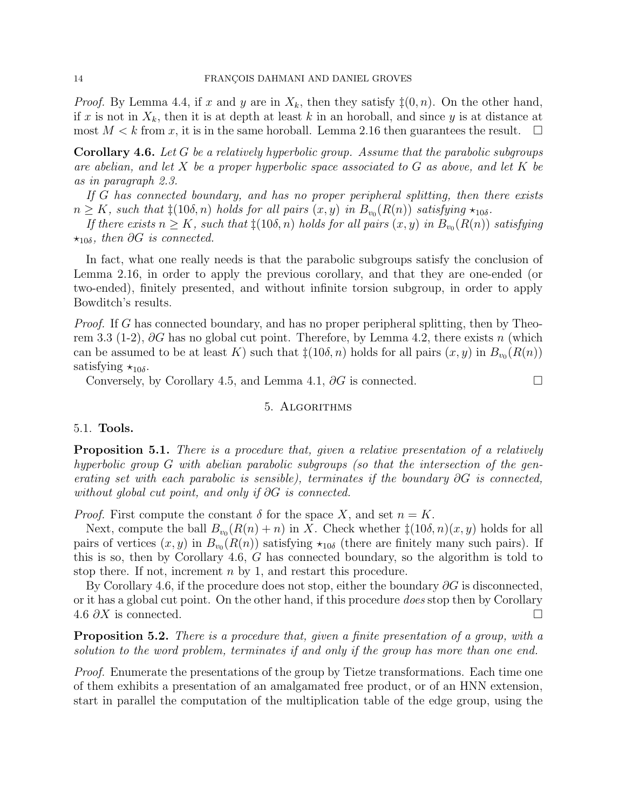*Proof.* By Lemma 4.4, if x and y are in  $X_k$ , then they satisfy  $\ddagger(0, n)$ . On the other hand, if x is not in  $X_k$ , then it is at depth at least k in an horoball, and since y is at distance at most  $M < k$  from x, it is in the same horoball. Lemma 2.16 then guarantees the result.  $\square$ 

Corollary 4.6. Let G be a relatively hyperbolic group. Assume that the parabolic subgroups are abelian, and let  $X$  be a proper hyperbolic space associated to  $G$  as above, and let  $K$  be as in paragraph 2.3.

If G has connected boundary, and has no proper peripheral splitting, then there exists  $n \geq K$ , such that  $\ddagger(10\delta, n)$  holds for all pairs  $(x, y)$  in  $B_{v_0}(R(n))$  satisfying  $\star_{10\delta}$ .

If there exists  $n \geq K$ , such that  $\ddagger(10\delta, n)$  holds for all pairs  $(x, y)$  in  $B_{v_0}(R(n))$  satisfying  $\star_{10\delta}$ , then ∂G is connected.

In fact, what one really needs is that the parabolic subgroups satisfy the conclusion of Lemma 2.16, in order to apply the previous corollary, and that they are one-ended (or two-ended), finitely presented, and without infinite torsion subgroup, in order to apply Bowditch's results.

Proof. If G has connected boundary, and has no proper peripheral splitting, then by Theorem 3.3 (1-2),  $\partial G$  has no global cut point. Therefore, by Lemma 4.2, there exists n (which can be assumed to be at least K) such that  $\ddagger(10\delta, n)$  holds for all pairs  $(x, y)$  in  $B_{v_0}(R(n))$ satisfying  $\star_{10\delta}$ .

Conversely, by Corollary 4.5, and Lemma 4.1,  $\partial G$  is connected.

#### 5. Algorithms

## 5.1. Tools.

**Proposition 5.1.** There is a procedure that, given a relative presentation of a relatively hyperbolic group G with abelian parabolic subgroups (so that the intersection of the generating set with each parabolic is sensible), terminates if the boundary  $\partial G$  is connected, without global cut point, and only if ∂G is connected.

*Proof.* First compute the constant  $\delta$  for the space X, and set  $n = K$ .

Next, compute the ball  $B_{v_0}(R(n) + n)$  in X. Check whether  $\ddagger(10\delta, n)(x, y)$  holds for all pairs of vertices  $(x, y)$  in  $B_{v_0}(R(n))$  satisfying  $\star_{10\delta}$  (there are finitely many such pairs). If this is so, then by Corollary 4.6, G has connected boundary, so the algorithm is told to stop there. If not, increment  $n$  by 1, and restart this procedure.

By Corollary 4.6, if the procedure does not stop, either the boundary  $\partial G$  is disconnected, or it has a global cut point. On the other hand, if this procedure *does* stop then by Corollary 4.6 ∂X is connected.

**Proposition 5.2.** There is a procedure that, given a finite presentation of a group, with a solution to the word problem, terminates if and only if the group has more than one end.

Proof. Enumerate the presentations of the group by Tietze transformations. Each time one of them exhibits a presentation of an amalgamated free product, or of an HNN extension, start in parallel the computation of the multiplication table of the edge group, using the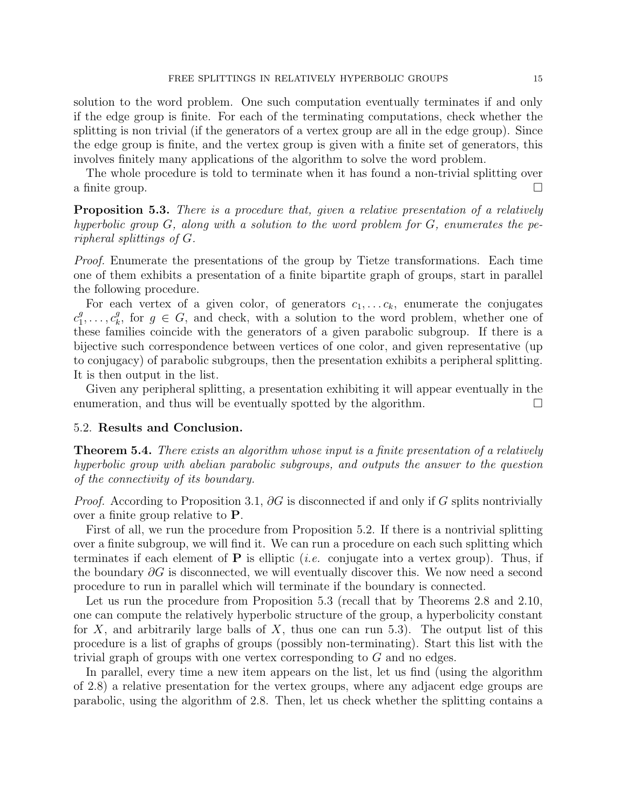solution to the word problem. One such computation eventually terminates if and only if the edge group is finite. For each of the terminating computations, check whether the splitting is non trivial (if the generators of a vertex group are all in the edge group). Since the edge group is finite, and the vertex group is given with a finite set of generators, this involves finitely many applications of the algorithm to solve the word problem.

The whole procedure is told to terminate when it has found a non-trivial splitting over a finite group.  $\square$ 

Proposition 5.3. There is a procedure that, given a relative presentation of a relatively hyperbolic group G, along with a solution to the word problem for G, enumerates the peripheral splittings of G.

Proof. Enumerate the presentations of the group by Tietze transformations. Each time one of them exhibits a presentation of a finite bipartite graph of groups, start in parallel the following procedure.

For each vertex of a given color, of generators  $c_1, \ldots c_k$ , enumerate the conjugates  $c_1^g$  $i_1^g, \ldots, c_k^g$  $k<sub>k</sub>$ , for  $g \in G$ , and check, with a solution to the word problem, whether one of these families coincide with the generators of a given parabolic subgroup. If there is a bijective such correspondence between vertices of one color, and given representative (up to conjugacy) of parabolic subgroups, then the presentation exhibits a peripheral splitting. It is then output in the list.

Given any peripheral splitting, a presentation exhibiting it will appear eventually in the enumeration, and thus will be eventually spotted by the algorithm.  $\Box$ 

#### 5.2. Results and Conclusion.

Theorem 5.4. There exists an algorithm whose input is a finite presentation of a relatively hyperbolic group with abelian parabolic subgroups, and outputs the answer to the question of the connectivity of its boundary.

*Proof.* According to Proposition 3.1,  $\partial G$  is disconnected if and only if G splits nontrivially over a finite group relative to P.

First of all, we run the procedure from Proposition 5.2. If there is a nontrivial splitting over a finite subgroup, we will find it. We can run a procedure on each such splitting which terminates if each element of  $P$  is elliptic *(i.e.* conjugate into a vertex group). Thus, if the boundary  $\partial G$  is disconnected, we will eventually discover this. We now need a second procedure to run in parallel which will terminate if the boundary is connected.

Let us run the procedure from Proposition 5.3 (recall that by Theorems 2.8 and 2.10, one can compute the relatively hyperbolic structure of the group, a hyperbolicity constant for  $X$ , and arbitrarily large balls of  $X$ , thus one can run 5.3). The output list of this procedure is a list of graphs of groups (possibly non-terminating). Start this list with the trivial graph of groups with one vertex corresponding to G and no edges.

In parallel, every time a new item appears on the list, let us find (using the algorithm of 2.8) a relative presentation for the vertex groups, where any adjacent edge groups are parabolic, using the algorithm of 2.8. Then, let us check whether the splitting contains a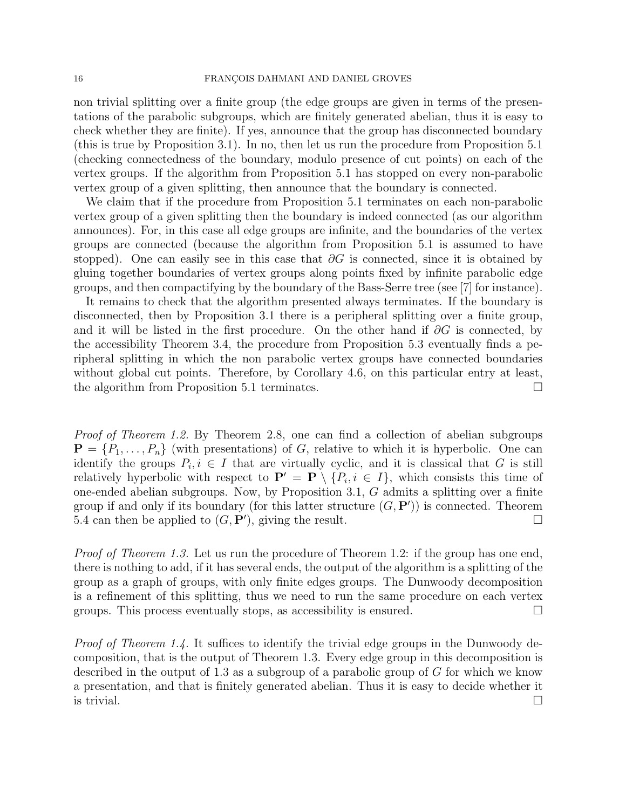non trivial splitting over a finite group (the edge groups are given in terms of the presentations of the parabolic subgroups, which are finitely generated abelian, thus it is easy to check whether they are finite). If yes, announce that the group has disconnected boundary (this is true by Proposition 3.1). In no, then let us run the procedure from Proposition 5.1 (checking connectedness of the boundary, modulo presence of cut points) on each of the vertex groups. If the algorithm from Proposition 5.1 has stopped on every non-parabolic vertex group of a given splitting, then announce that the boundary is connected.

We claim that if the procedure from Proposition 5.1 terminates on each non-parabolic vertex group of a given splitting then the boundary is indeed connected (as our algorithm announces). For, in this case all edge groups are infinite, and the boundaries of the vertex groups are connected (because the algorithm from Proposition 5.1 is assumed to have stopped). One can easily see in this case that  $\partial G$  is connected, since it is obtained by gluing together boundaries of vertex groups along points fixed by infinite parabolic edge groups, and then compactifying by the boundary of the Bass-Serre tree (see [7] for instance).

It remains to check that the algorithm presented always terminates. If the boundary is disconnected, then by Proposition 3.1 there is a peripheral splitting over a finite group, and it will be listed in the first procedure. On the other hand if  $\partial G$  is connected, by the accessibility Theorem 3.4, the procedure from Proposition 5.3 eventually finds a peripheral splitting in which the non parabolic vertex groups have connected boundaries without global cut points. Therefore, by Corollary 4.6, on this particular entry at least, the algorithm from Proposition 5.1 terminates.

Proof of Theorem 1.2. By Theorem 2.8, one can find a collection of abelian subgroups  $\mathbf{P} = \{P_1, \ldots, P_n\}$  (with presentations) of G, relative to which it is hyperbolic. One can identify the groups  $P_i, i \in I$  that are virtually cyclic, and it is classical that G is still relatively hyperbolic with respect to  $\mathbf{P}' = \mathbf{P} \setminus \{P_i, i \in I\}$ , which consists this time of one-ended abelian subgroups. Now, by Proposition 3.1, G admits a splitting over a finite group if and only if its boundary (for this latter structure  $(G, P')$ ) is connected. Theorem 5.4 can then be applied to  $(G, \mathbf{P}')$ , giving the result.

*Proof of Theorem 1.3.* Let us run the procedure of Theorem 1.2: if the group has one end, there is nothing to add, if it has several ends, the output of the algorithm is a splitting of the group as a graph of groups, with only finite edges groups. The Dunwoody decomposition is a refinement of this splitting, thus we need to run the same procedure on each vertex groups. This process eventually stops, as accessibility is ensured.  $\Box$ 

*Proof of Theorem 1.4.* It suffices to identify the trivial edge groups in the Dunwoody decomposition, that is the output of Theorem 1.3. Every edge group in this decomposition is described in the output of 1.3 as a subgroup of a parabolic group of  $G$  for which we know a presentation, and that is finitely generated abelian. Thus it is easy to decide whether it is trivial.  $\Box$